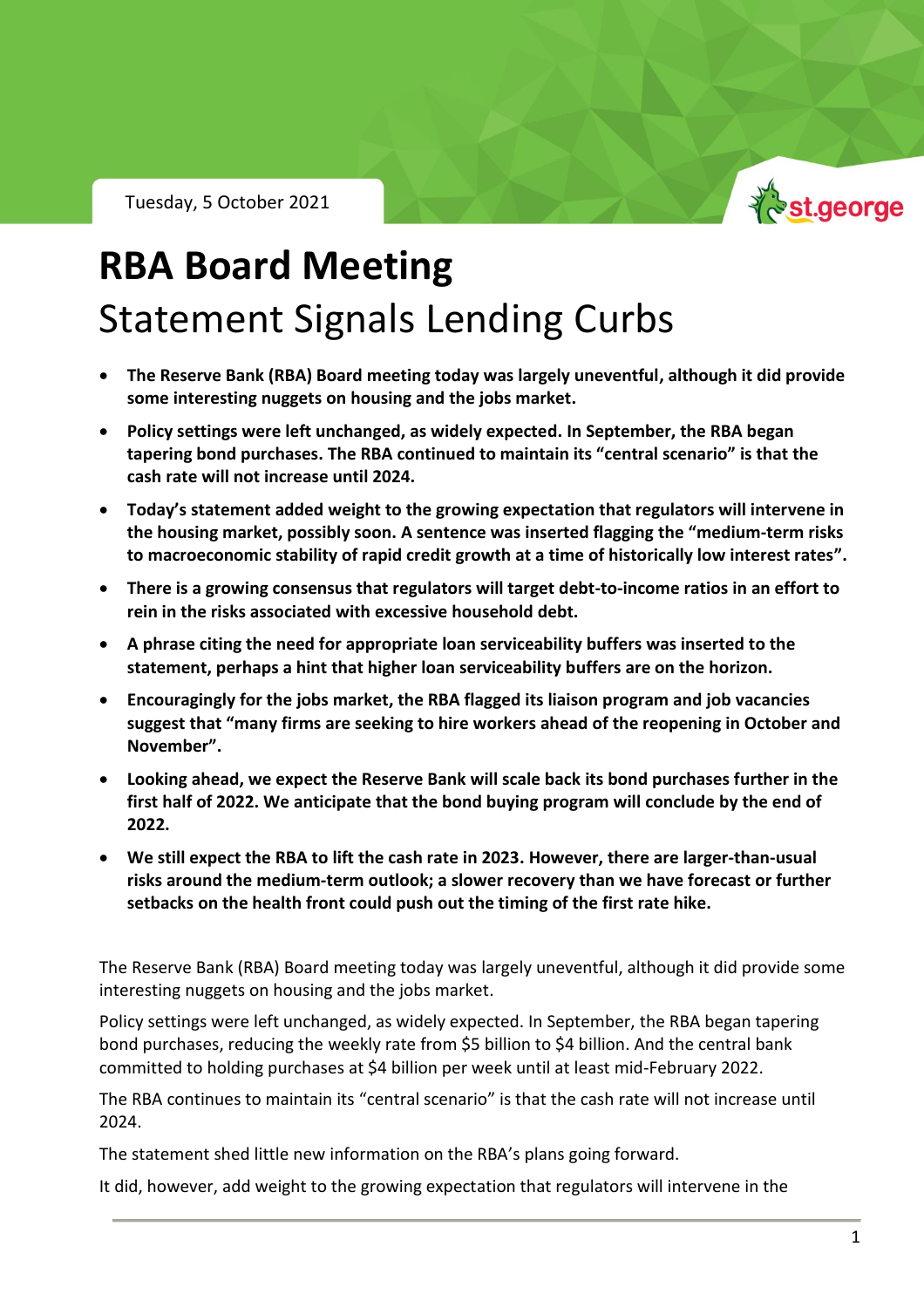Tuesday, 5 October 2021



## **RBA Board Meeting** Statement Signals Lending Curbs

- **The Reserve Bank (RBA) Board meeting today was largely uneventful, although it did provide some interesting nuggets on housing and the jobs market.**
- **Policy settings were left unchanged, as widely expected. In September, the RBA began tapering bond purchases. The RBA continued to maintain its "central scenario" is that the cash rate will not increase until 2024.**
- **Today's statement added weight to the growing expectation that regulators will intervene in the housing market, possibly soon. A sentence was inserted flagging the "medium-term risks to macroeconomic stability of rapid credit growth at a time of historically low interest rates".**
- **There is a growing consensus that regulators will target debt-to-income ratios in an effort to rein in the risks associated with excessive household debt.**
- **A phrase citing the need for appropriate loan serviceability buffers was inserted to the statement, perhaps a hint that higher loan serviceability buffers are on the horizon.**
- **Encouragingly for the jobs market, the RBA flagged its liaison program and job vacancies suggest that "many firms are seeking to hire workers ahead of the reopening in October and November".**
- **Looking ahead, we expect the Reserve Bank will scale back its bond purchases further in the first half of 2022. We anticipate that the bond buying program will conclude by the end of 2022.**
- **We still expect the RBA to lift the cash rate in 2023. However, there are larger-than-usual risks around the medium-term outlook; a slower recovery than we have forecast or further setbacks on the health front could push out the timing of the first rate hike.**

The Reserve Bank (RBA) Board meeting today was largely uneventful, although it did provide some interesting nuggets on housing and the jobs market.

Policy settings were left unchanged, as widely expected. In September, the RBA began tapering bond purchases, reducing the weekly rate from \$5 billion to \$4 billion. And the central bank committed to holding purchases at \$4 billion per week until at least mid-February 2022.

The RBA continues to maintain its "central scenario" is that the cash rate will not increase until 2024.

The statement shed little new information on the RBA's plans going forward.

It did, however, add weight to the growing expectation that regulators will intervene in the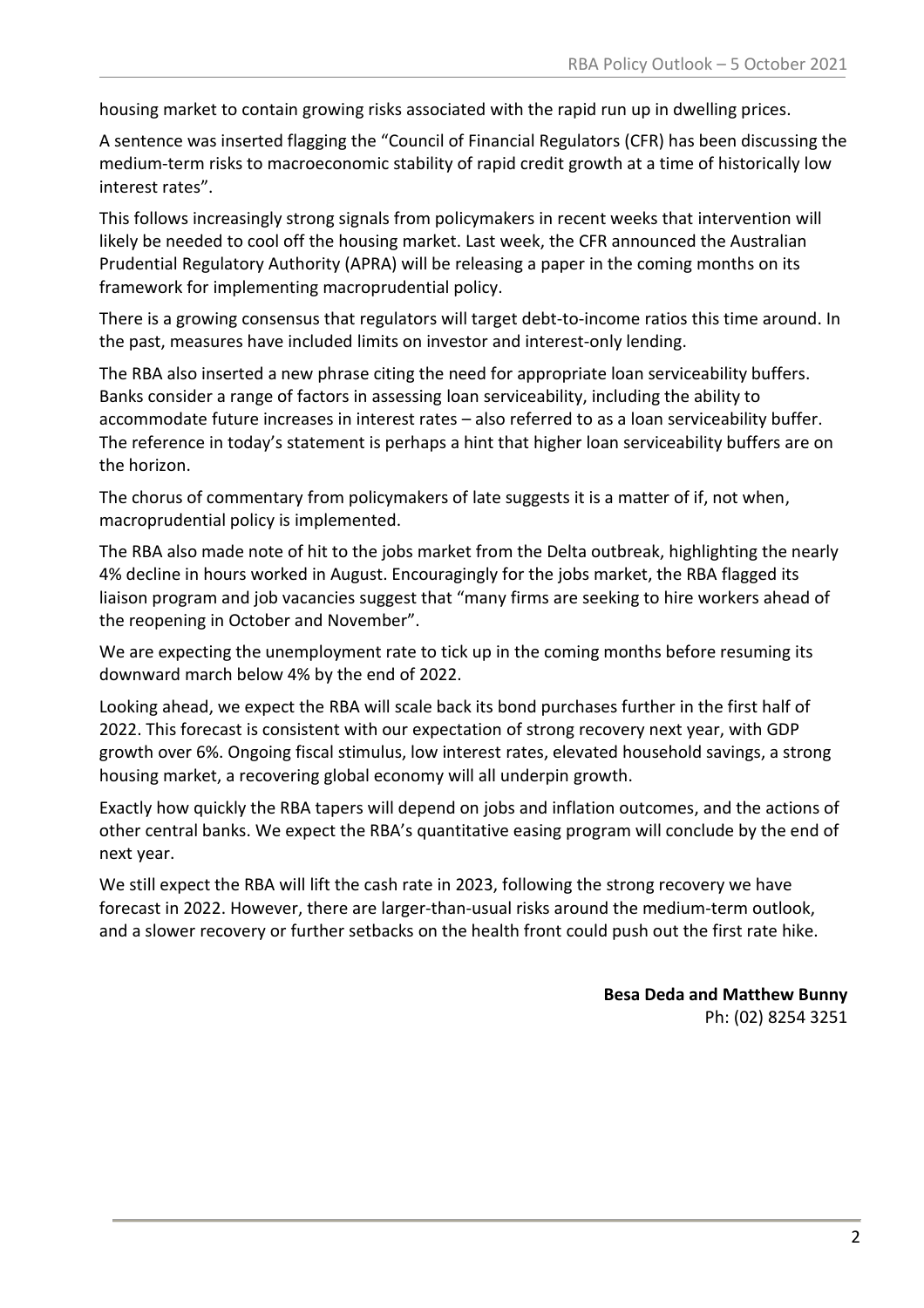housing market to contain growing risks associated with the rapid run up in dwelling prices.

A sentence was inserted flagging the "Council of Financial Regulators (CFR) has been discussing the medium-term risks to macroeconomic stability of rapid credit growth at a time of historically low interest rates".

This follows increasingly strong signals from policymakers in recent weeks that intervention will likely be needed to cool off the housing market. Last week, the CFR announced the Australian Prudential Regulatory Authority (APRA) will be releasing a paper in the coming months on its framework for implementing macroprudential policy.

There is a growing consensus that regulators will target debt-to-income ratios this time around. In the past, measures have included limits on investor and interest-only lending.

The RBA also inserted a new phrase citing the need for appropriate loan serviceability buffers. Banks consider a range of factors in assessing loan serviceability, including the ability to accommodate future increases in interest rates – also referred to as a loan serviceability buffer. The reference in today's statement is perhaps a hint that higher loan serviceability buffers are on the horizon.

The chorus of commentary from policymakers of late suggests it is a matter of if, not when, macroprudential policy is implemented.

The RBA also made note of hit to the jobs market from the Delta outbreak, highlighting the nearly 4% decline in hours worked in August. Encouragingly for the jobs market, the RBA flagged its liaison program and job vacancies suggest that "many firms are seeking to hire workers ahead of the reopening in October and November".

We are expecting the unemployment rate to tick up in the coming months before resuming its downward march below 4% by the end of 2022.

Looking ahead, we expect the RBA will scale back its bond purchases further in the first half of 2022. This forecast is consistent with our expectation of strong recovery next year, with GDP growth over 6%. Ongoing fiscal stimulus, low interest rates, elevated household savings, a strong housing market, a recovering global economy will all underpin growth.

Exactly how quickly the RBA tapers will depend on jobs and inflation outcomes, and the actions of other central banks. We expect the RBA's quantitative easing program will conclude by the end of next year.

We still expect the RBA will lift the cash rate in 2023, following the strong recovery we have forecast in 2022. However, there are larger-than-usual risks around the medium-term outlook, and a slower recovery or further setbacks on the health front could push out the first rate hike.

> **Besa Deda and Matthew Bunny** Ph: (02) 8254 3251